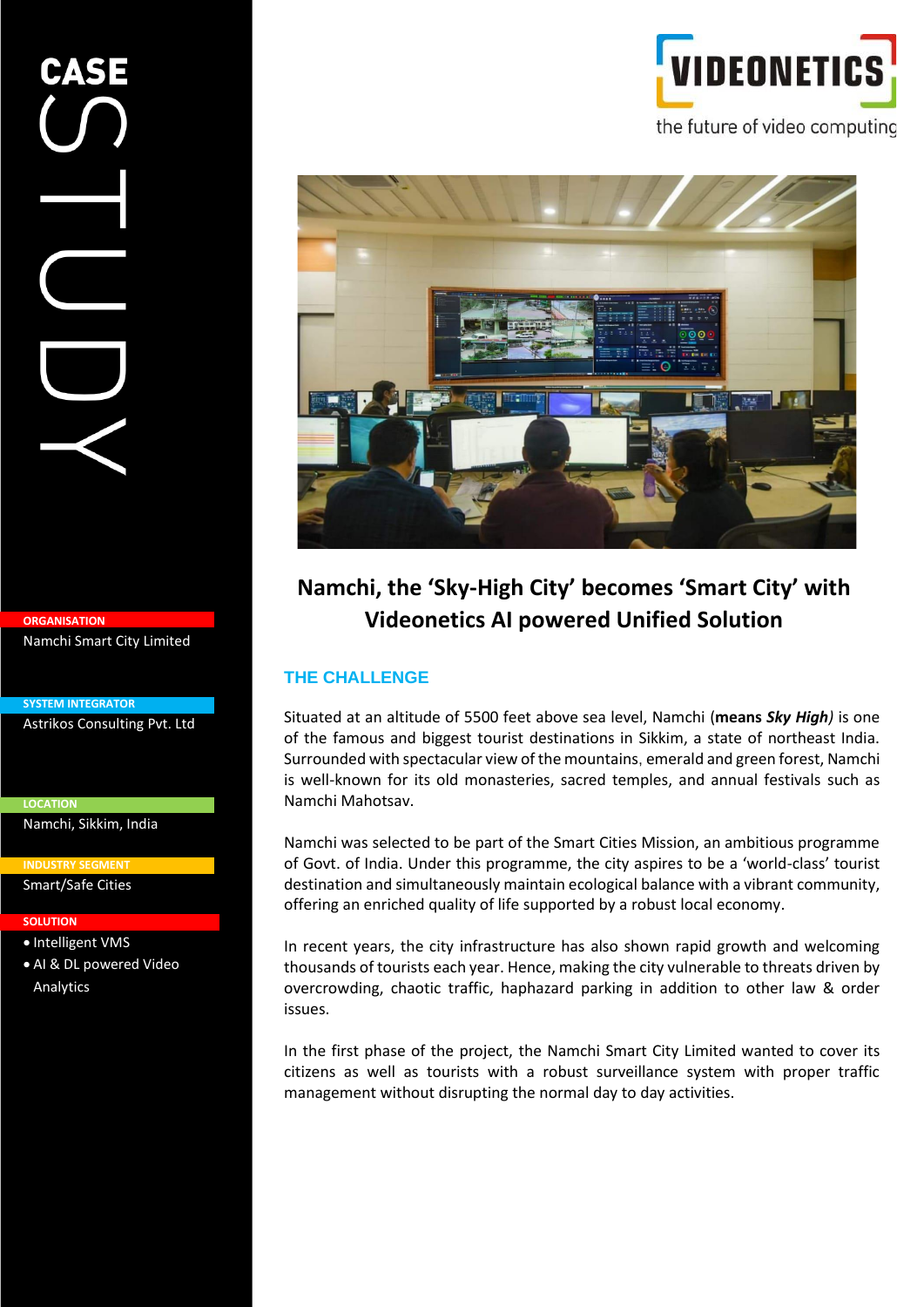# VIDEONETI the future of video computing



# **Namchi, the 'Sky-High City' becomes 'Smart City' with Videonetics AI powered Unified Solution**

# **THE CHALLENGE**

Situated at an altitude of 5500 feet above sea level, Namchi (**means** *Sky High)* is one of the famous and biggest tourist destinations in Sikkim, a state of northeast India. Surrounded with spectacular view of the mountains, emerald and green forest, Namchi is well-known for its old monasteries, sacred temples, and annual festivals such as Namchi Mahotsav.

Namchi was selected to be part of the Smart Cities Mission, an ambitious programme of Govt. of India. Under this programme, the city aspires to be a 'world-class' tourist destination and simultaneously maintain ecological balance with a vibrant community, offering an enriched quality of life supported by a robust local economy.

In recent years, the city infrastructure has also shown rapid growth and welcoming thousands of tourists each year. Hence, making the city vulnerable to threats driven by overcrowding, chaotic traffic, haphazard parking in addition to other law & order issues.

In the first phase of the project, the Namchi Smart City Limited wanted to cover its citizens as well as tourists with a robust surveillance system with proper traffic management without disrupting the normal day to day activities.

**ORGANISATION**

Namchi Smart City Limited

**SYSTEM INTEGRATOR** Astrikos Consulting Pvt. Ltd

**LOCATION** Namchi, Sikkim, India

**INDUSTRY SEGMENT**

Smart/Safe Cities

#### **SOLUTION**

**•** Intelligent VMS • AI & DL powered Video

Analytics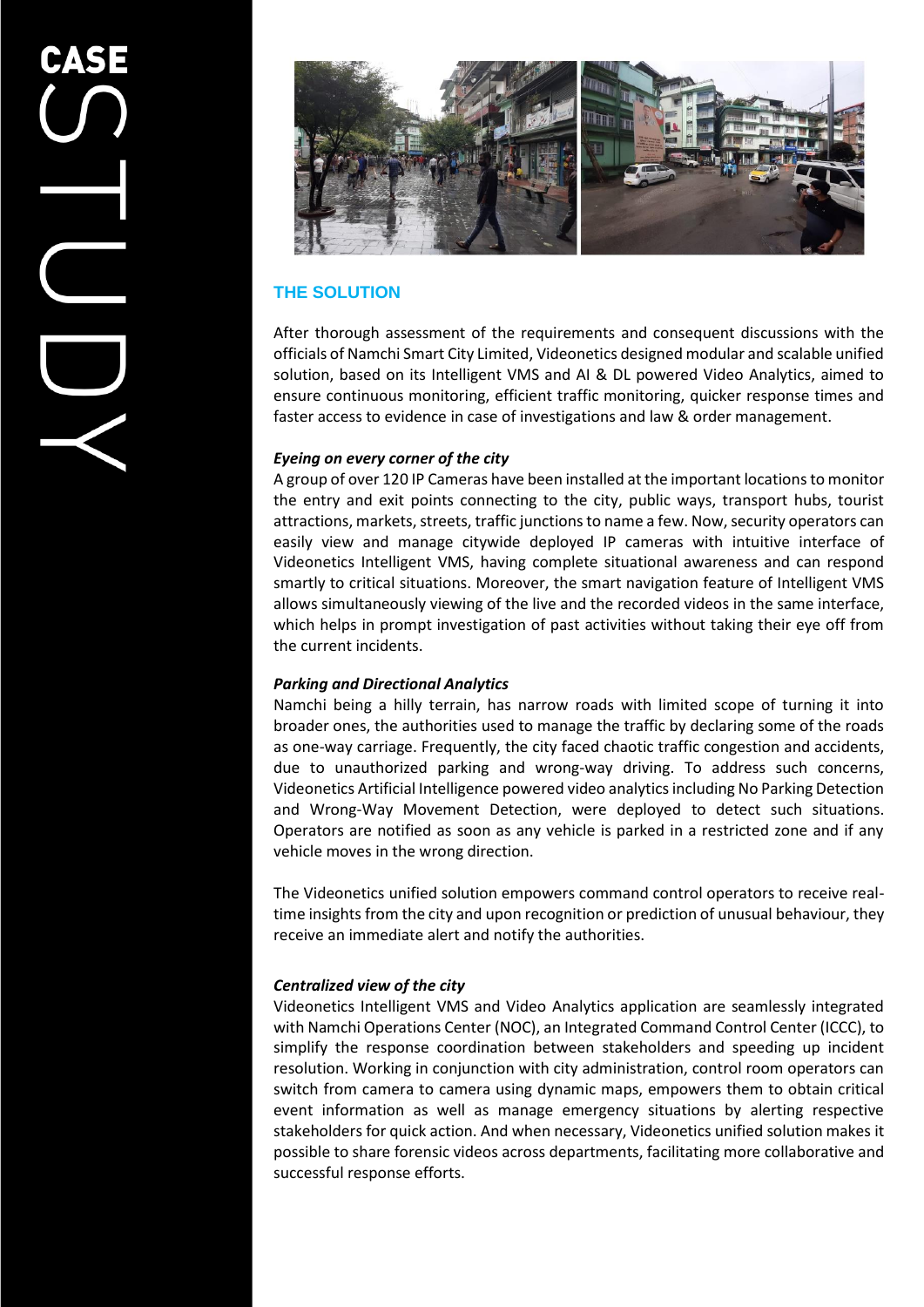

# **THE SOLUTION**

After thorough assessment of the requirements and consequent discussions with the officials of Namchi Smart City Limited, Videonetics designed modular and scalable unified solution, based on its Intelligent VMS and AI & DL powered Video Analytics, aimed to ensure continuous monitoring, efficient traffic monitoring, quicker response times and faster access to evidence in case of investigations and law & order management.

### *Eyeing on every corner of the city*

A group of over 120 IP Cameras have been installed at the important locations to monitor the entry and exit points connecting to the city, public ways, transport hubs, tourist attractions, markets, streets, traffic junctions to name a few. Now, security operators can easily view and manage citywide deployed IP cameras with intuitive interface of Videonetics Intelligent VMS, having complete situational awareness and can respond smartly to critical situations. Moreover, the smart navigation feature of Intelligent VMS allows simultaneously viewing of the live and the recorded videos in the same interface, which helps in prompt investigation of past activities without taking their eye off from the current incidents.

#### *Parking and Directional Analytics*

Namchi being a hilly terrain, has narrow roads with limited scope of turning it into broader ones, the authorities used to manage the traffic by declaring some of the roads as one-way carriage. Frequently, the city faced chaotic traffic congestion and accidents, due to unauthorized parking and wrong-way driving. To address such concerns, Videonetics Artificial Intelligence powered video analytics including No Parking Detection and Wrong-Way Movement Detection, were deployed to detect such situations. Operators are notified as soon as any vehicle is parked in a restricted zone and if any vehicle moves in the wrong direction.

The Videonetics unified solution empowers command control operators to receive realtime insights from the city and upon recognition or prediction of unusual behaviour, they receive an immediate alert and notify the authorities.

## *Centralized view of the city*

Videonetics Intelligent VMS and Video Analytics application are seamlessly integrated with Namchi Operations Center (NOC), an Integrated Command Control Center (ICCC), to simplify the response coordination between stakeholders and speeding up incident resolution. Working in conjunction with city administration, control room operators can switch from camera to camera using dynamic maps, empowers them to obtain critical event information as well as manage emergency situations by alerting respective stakeholders for quick action. And when necessary, Videonetics unified solution makes it possible to share forensic videos across departments, facilitating more collaborative and successful response efforts.